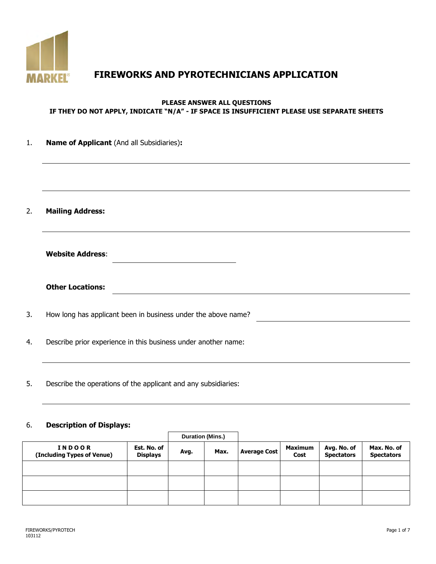

# **FIREWORKS AND PYROTECHNICIANS APPLICATION**

### **PLEASE ANSWER ALL QUESTIONS IF THEY DO NOT APPLY, INDICATE "N/A" - IF SPACE IS INSUFFICIENT PLEASE USE SEPARATE SHEETS**

| Name of Applicant (And all Subsidiaries):                      |
|----------------------------------------------------------------|
|                                                                |
| <b>Mailing Address:</b>                                        |
| <b>Website Address:</b>                                        |
| <b>Other Locations:</b>                                        |
| How long has applicant been in business under the above name?  |
| Describe prior experience in this business under another name: |
|                                                                |

5. Describe the operations of the applicant and any subsidiaries:

### 6. **Description of Displays:**

|                                             | <b>Duration (Mins.)</b>        |      |      |                     |                        |                                  |                                  |
|---------------------------------------------|--------------------------------|------|------|---------------------|------------------------|----------------------------------|----------------------------------|
| <b>INDOOR</b><br>(Including Types of Venue) | Est. No. of<br><b>Displays</b> | Avg. | Max. | <b>Average Cost</b> | <b>Maximum</b><br>Cost | Avg. No. of<br><b>Spectators</b> | Max. No. of<br><b>Spectators</b> |
|                                             |                                |      |      |                     |                        |                                  |                                  |
|                                             |                                |      |      |                     |                        |                                  |                                  |
|                                             |                                |      |      |                     |                        |                                  |                                  |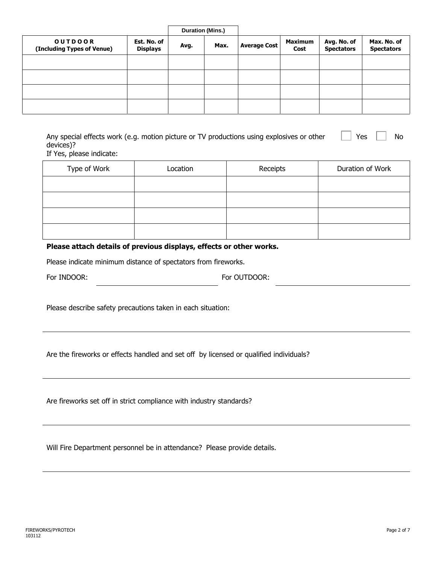|                                              |                                | Duration (Mins.) |      |                     |                        |                                  |                                  |
|----------------------------------------------|--------------------------------|------------------|------|---------------------|------------------------|----------------------------------|----------------------------------|
| <b>OUTDOOR</b><br>(Including Types of Venue) | Est. No. of<br><b>Displays</b> | Avg.             | Max. | <b>Average Cost</b> | <b>Maximum</b><br>Cost | Avg. No. of<br><b>Spectators</b> | Max. No. of<br><b>Spectators</b> |
|                                              |                                |                  |      |                     |                        |                                  |                                  |
|                                              |                                |                  |      |                     |                        |                                  |                                  |
|                                              |                                |                  |      |                     |                        |                                  |                                  |
|                                              |                                |                  |      |                     |                        |                                  |                                  |

| Any special effects work (e.g. motion picture or TV productions using explosives or other | $\begin{array}{ccc} \cdot & \ \ \end{array}$ Yes $\begin{array}{ccc} \ \ \end{array}$ No |  |
|-------------------------------------------------------------------------------------------|------------------------------------------------------------------------------------------|--|
| devices)?                                                                                 |                                                                                          |  |
| $- - - -$                                                                                 |                                                                                          |  |

If Yes, please indicate:

| Type of Work | Location | Receipts | Duration of Work |
|--------------|----------|----------|------------------|
|              |          |          |                  |
|              |          |          |                  |
|              |          |          |                  |
|              |          |          |                  |

### **Please attach details of previous displays, effects or other works.**

Please indicate minimum distance of spectators from fireworks.

| For INDOOR: | For OUTDOOR: |
|-------------|--------------|
|-------------|--------------|

Please describe safety precautions taken in each situation:

Are the fireworks or effects handled and set off by licensed or qualified individuals?

Are fireworks set off in strict compliance with industry standards?

Will Fire Department personnel be in attendance? Please provide details.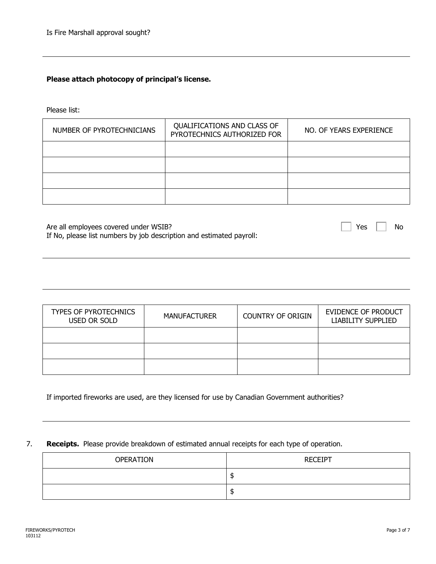### **Please attach photocopy of principal's license.**

Please list:

| NUMBER OF PYROTECHNICIANS | QUALIFICATIONS AND CLASS OF<br>PYROTECHNICS AUTHORIZED FOR | NO. OF YEARS EXPERIENCE |
|---------------------------|------------------------------------------------------------|-------------------------|
|                           |                                                            |                         |
|                           |                                                            |                         |
|                           |                                                            |                         |
|                           |                                                            |                         |

Are all employees covered under WSIB? If No, please list numbers by job description and estimated payroll:

| <b>TYPES OF PYROTECHNICS</b><br>USED OR SOLD | <b>MANUFACTURER</b> | <b>COUNTRY OF ORIGIN</b> | EVIDENCE OF PRODUCT<br>LIABILITY SUPPLIED |
|----------------------------------------------|---------------------|--------------------------|-------------------------------------------|
|                                              |                     |                          |                                           |
|                                              |                     |                          |                                           |
|                                              |                     |                          |                                           |

If imported fireworks are used, are they licensed for use by Canadian Government authorities?

### 7. **Receipts.** Please provide breakdown of estimated annual receipts for each type of operation.

| OPERATION | <b>RECEIPT</b> |
|-----------|----------------|
|           | JЛ             |
|           | JЛ             |

Yes  $\Box$  No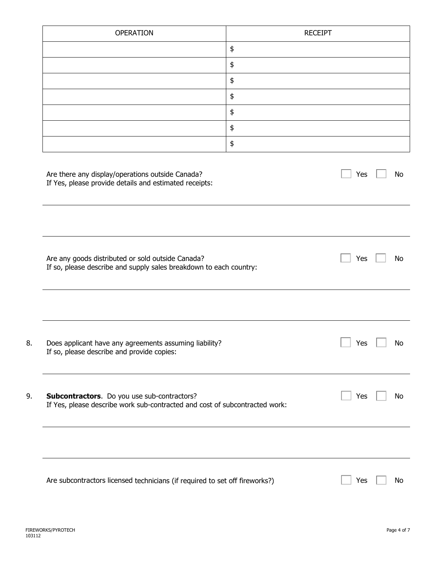| <b>OPERATION</b>                                                                                                           | <b>RECEIPT</b>    |
|----------------------------------------------------------------------------------------------------------------------------|-------------------|
|                                                                                                                            | \$                |
|                                                                                                                            | $\pmb{\varphi}$   |
|                                                                                                                            | \$                |
|                                                                                                                            | \$                |
|                                                                                                                            | \$                |
|                                                                                                                            | \$                |
|                                                                                                                            | \$                |
| Are there any display/operations outside Canada?<br>If Yes, please provide details and estimated receipts:                 | Yes<br>No         |
| Are any goods distributed or sold outside Canada?<br>If so, please describe and supply sales breakdown to each country:    | Yes<br>No         |
| Does applicant have any agreements assuming liability?<br>If so, please describe and provide copies:                       | $\vert$ Yes<br>No |
| Subcontractors. Do you use sub-contractors?<br>If Yes, please describe work sub-contracted and cost of subcontracted work: | Yes<br>No         |
|                                                                                                                            |                   |
| Are subcontractors licensed technicians (if required to set off fireworks?)                                                | Yes<br>No         |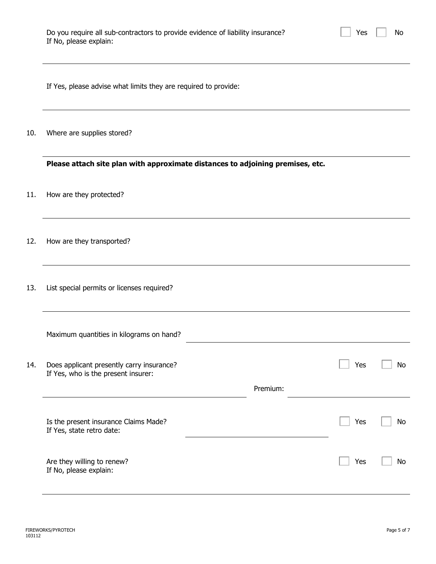| Do you require all sub-contractors to provide evidence of liability insurance? |  |  |
|--------------------------------------------------------------------------------|--|--|
| If No, please explain:                                                         |  |  |

Yes  $\Box$  No

| If Yes, please advise what limits they are required to provide: |  |  |  |  |
|-----------------------------------------------------------------|--|--|--|--|
|-----------------------------------------------------------------|--|--|--|--|

10. Where are supplies stored?

**Please attach site plan with approximate distances to adjoining premises, etc.**

- 11. How are they protected?
- 12. How are they transported?
- 13. List special permits or licenses required?

|     | Maximum quantities in kilograms on hand?                                         |          |     |     |
|-----|----------------------------------------------------------------------------------|----------|-----|-----|
| 14. | Does applicant presently carry insurance?<br>If Yes, who is the present insurer: |          | Yes | No. |
|     |                                                                                  | Premium: |     |     |
|     | Is the present insurance Claims Made?<br>If Yes, state retro date:               |          | Yes | No. |
|     | Are they willing to renew?<br>If No, please explain:                             |          | Yes | No. |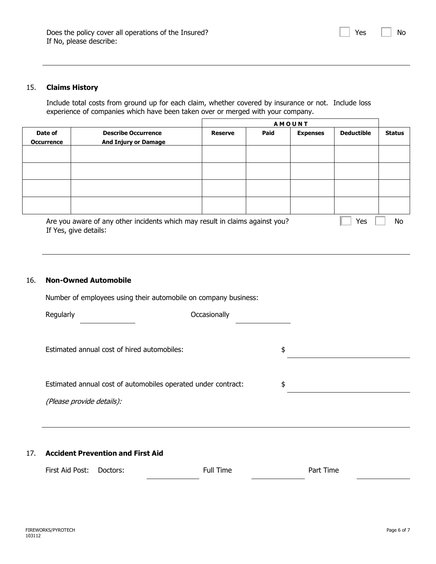### 15. **Claims History**

Include total costs from ground up for each claim, whether covered by insurance or not. Include loss experience of companies which have been taken over or merged with your company.

|                              | <b>AMOUNT</b>                                                                |                |      |                 |                   |               |
|------------------------------|------------------------------------------------------------------------------|----------------|------|-----------------|-------------------|---------------|
| Date of<br><b>Occurrence</b> | <b>Describe Occurrence</b><br><b>And Injury or Damage</b>                    | <b>Reserve</b> | Paid | <b>Expenses</b> | <b>Deductible</b> | <b>Status</b> |
|                              |                                                                              |                |      |                 |                   |               |
|                              |                                                                              |                |      |                 |                   |               |
|                              |                                                                              |                |      |                 |                   |               |
|                              |                                                                              |                |      |                 |                   |               |
|                              | Are you aware of any other incidents which may result in claims against you? |                |      |                 | Yes               | No            |

If Yes, give details:

#### 16. **Non-Owned Automobile**

Number of employees using their automobile on company business:

| Regularly                                   | Occasionally |
|---------------------------------------------|--------------|
|                                             |              |
| Estimated annual cost of hired automobiles: |              |

Estimated annual cost of automobiles operated under contract: \$

(Please provide details):

#### 17. **Accident Prevention and First Aid**

First Aid Post: Doctors: The Part Time Part Time Part Time

Yes  $\vert \vert$  No